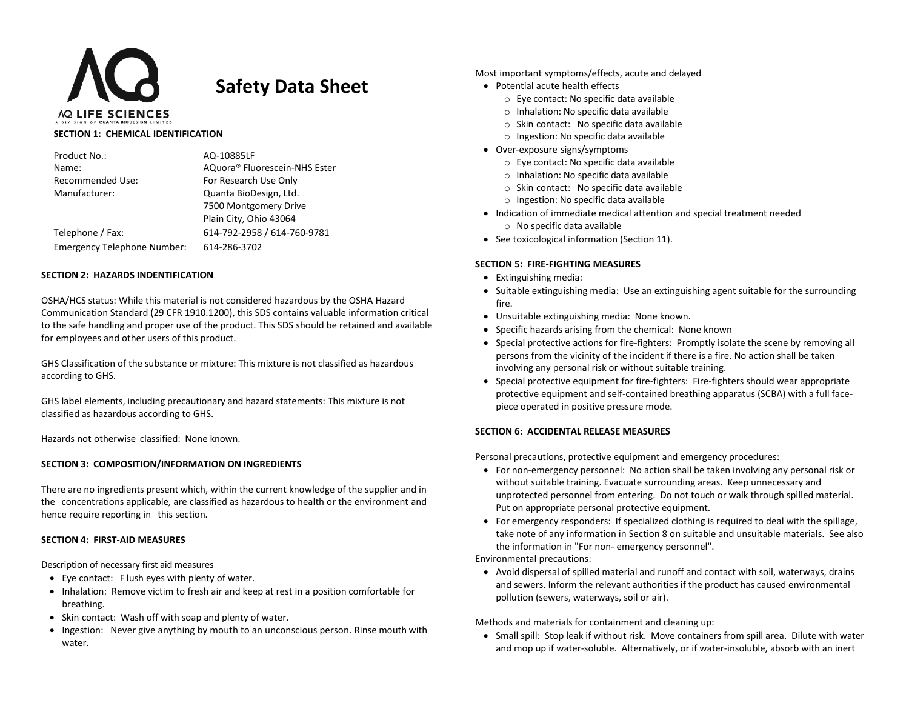

# **Safety Data Sheet**

#### **SECTION 1: CHEMICAL IDENTIFICATION**

| Product No.:                       | AQ-10885LF                    |
|------------------------------------|-------------------------------|
| Name:                              | AQuora® Fluorescein-NHS Ester |
| <b>Recommended Use:</b>            | For Research Use Only         |
| Manufacturer:                      | Quanta BioDesign, Ltd.        |
|                                    | 7500 Montgomery Drive         |
|                                    | Plain City, Ohio 43064        |
| Telephone / Fax:                   | 614-792-2958 / 614-760-9781   |
| <b>Emergency Telephone Number:</b> | 614-286-3702                  |

## **SECTION 2: HAZARDS INDENTIFICATION**

OSHA/HCS status: While this material is not considered hazardous by the OSHA Hazard Communication Standard (29 CFR 1910.1200), this SDS contains valuable information critical to the safe handling and proper use of the product. This SDS should be retained and available for employees and other users of this product.

GHS Classification of the substance or mixture: This mixture is not classified as hazardous according to GHS.

GHS label elements, including precautionary and hazard statements: This mixture is not classified as hazardous according to GHS.

Hazards not otherwise classified: None known.

## **SECTION 3: COMPOSITION/INFORMATION ON INGREDIENTS**

There are no ingredients present which, within the current knowledge of the supplier and in the concentrations applicable, are classified as hazardous to health or the environment and hence require reporting in this section.

## **SECTION 4: FIRST-AID MEASURES**

Description of necessary first aid measures

- Eye contact: F lush eyes with plenty of water.
- Inhalation: Remove victim to fresh air and keep at rest in a position comfortable for breathing.
- Skin contact: Wash off with soap and plenty of water.
- Ingestion: Never give anything by mouth to an unconscious person. Rinse mouth with water.

Most important symptoms/effects, acute and delayed

- Potential acute health effects
	- o Eye contact: No specific data available
	- o Inhalation: No specific data available
	- o Skin contact: No specific data available
	- o Ingestion: No specific data available
- Over-exposure signs/symptoms
	- o Eye contact: No specific data available
	- o Inhalation: No specific data available
	- o Skin contact: No specific data available
	- o Ingestion: No specific data available
- Indication of immediate medical attention and special treatment needed o No specific data available
- See toxicological information (Section 11).

## **SECTION 5: FIRE-FIGHTING MEASURES**

- Extinguishing media:
- Suitable extinguishing media: Use an extinguishing agent suitable for the surrounding fire.
- Unsuitable extinguishing media: None known.
- Specific hazards arising from the chemical: None known
- Special protective actions for fire-fighters: Promptly isolate the scene by removing all persons from the vicinity of the incident if there is a fire. No action shall be taken involving any personal risk or without suitable training.
- Special protective equipment for fire-fighters: Fire-fighters should wear appropriate protective equipment and self-contained breathing apparatus (SCBA) with a full facepiece operated in positive pressure mode.

## **SECTION 6: ACCIDENTAL RELEASE MEASURES**

Personal precautions, protective equipment and emergency procedures:

- For non-emergency personnel: No action shall be taken involving any personal risk or without suitable training. Evacuate surrounding areas. Keep unnecessary and unprotected personnel from entering. Do not touch or walk through spilled material. Put on appropriate personal protective equipment.
- For emergency responders: If specialized clothing is required to deal with the spillage, take note of any information in Section 8 on suitable and unsuitable materials. See also the information in "For non- emergency personnel".

Environmental precautions:

• Avoid dispersal of spilled material and runoff and contact with soil, waterways, drains and sewers. Inform the relevant authorities if the product has caused environmental pollution (sewers, waterways, soil or air).

## Methods and materials for containment and cleaning up:

• Small spill: Stop leak if without risk. Move containers from spill area. Dilute with water and mop up if water-soluble. Alternatively, or if water-insoluble, absorb with an inert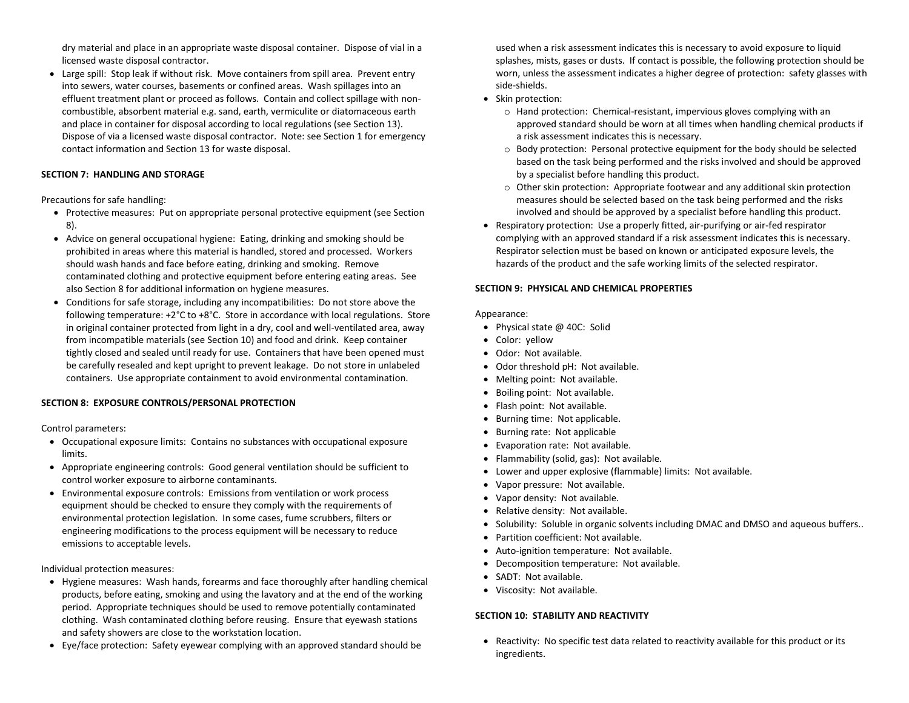dry material and place in an appropriate waste disposal container. Dispose of vial in a licensed waste disposal contractor.

• Large spill: Stop leak if without risk. Move containers from spill area. Prevent entry into sewers, water courses, basements or confined areas. Wash spillages into an effluent treatment plant or proceed as follows. Contain and collect spillage with noncombustible, absorbent material e.g. sand, earth, vermiculite or diatomaceous earth and place in container for disposal according to local regulations (see Section 13). Dispose of via a licensed waste disposal contractor. Note: see Section 1 for emergency contact information and Section 13 for waste disposal.

# **SECTION 7: HANDLING AND STORAGE**

Precautions for safe handling:

- Protective measures: Put on appropriate personal protective equipment (see Section 8).
- Advice on general occupational hygiene: Eating, drinking and smoking should be prohibited in areas where this material is handled, stored and processed. Workers should wash hands and face before eating, drinking and smoking. Remove contaminated clothing and protective equipment before entering eating areas. See also Section 8 for additional information on hygiene measures.
- Conditions for safe storage, including any incompatibilities: Do not store above the following temperature: +2°C to +8°C. Store in accordance with local regulations. Store in original container protected from light in a dry, cool and well-ventilated area, away from incompatible materials (see Section 10) and food and drink. Keep container tightly closed and sealed until ready for use. Containers that have been opened must be carefully resealed and kept upright to prevent leakage. Do not store in unlabeled containers. Use appropriate containment to avoid environmental contamination.

## **SECTION 8: EXPOSURE CONTROLS/PERSONAL PROTECTION**

Control parameters:

- Occupational exposure limits: Contains no substances with occupational exposure limits.
- Appropriate engineering controls: Good general ventilation should be sufficient to control worker exposure to airborne contaminants.
- Environmental exposure controls: Emissions from ventilation or work process equipment should be checked to ensure they comply with the requirements of environmental protection legislation. In some cases, fume scrubbers, filters or engineering modifications to the process equipment will be necessary to reduce emissions to acceptable levels.

Individual protection measures:

- Hygiene measures: Wash hands, forearms and face thoroughly after handling chemical products, before eating, smoking and using the lavatory and at the end of the working period. Appropriate techniques should be used to remove potentially contaminated clothing. Wash contaminated clothing before reusing. Ensure that eyewash stations and safety showers are close to the workstation location.
- Eye/face protection: Safety eyewear complying with an approved standard should be

used when a risk assessment indicates this is necessary to avoid exposure to liquid splashes, mists, gases or dusts. If contact is possible, the following protection should be worn, unless the assessment indicates a higher degree of protection: safety glasses with side-shields.

- Skin protection:
	- o Hand protection: Chemical-resistant, impervious gloves complying with an approved standard should be worn at all times when handling chemical products if a risk assessment indicates this is necessary.
	- o Body protection: Personal protective equipment for the body should be selected based on the task being performed and the risks involved and should be approved by a specialist before handling this product.
	- o Other skin protection: Appropriate footwear and any additional skin protection measures should be selected based on the task being performed and the risks involved and should be approved by a specialist before handling this product.
- Respiratory protection: Use a properly fitted, air-purifying or air-fed respirator complying with an approved standard if a risk assessment indicates this is necessary. Respirator selection must be based on known or anticipated exposure levels, the hazards of the product and the safe working limits of the selected respirator.

## **SECTION 9: PHYSICAL AND CHEMICAL PROPERTIES**

Appearance:

- Physical state @ 40C: Solid
- Color: yellow
- Odor: Not available.
- Odor threshold pH: Not available.
- Melting point: Not available.
- Boiling point: Not available.
- Flash point: Not available.
- Burning time: Not applicable.
- Burning rate: Not applicable
- Evaporation rate: Not available.
- Flammability (solid, gas): Not available.
- Lower and upper explosive (flammable) limits: Not available.
- Vapor pressure: Not available.
- Vapor density: Not available.
- Relative density: Not available.
- Solubility: Soluble in organic solvents including DMAC and DMSO and aqueous buffers..
- Partition coefficient: Not available.
- Auto-ignition temperature: Not available.
- Decomposition temperature: Not available.
- SADT: Not available.
- Viscosity: Not available.

## **SECTION 10: STABILITY AND REACTIVITY**

• Reactivity: No specific test data related to reactivity available for this product or its ingredients.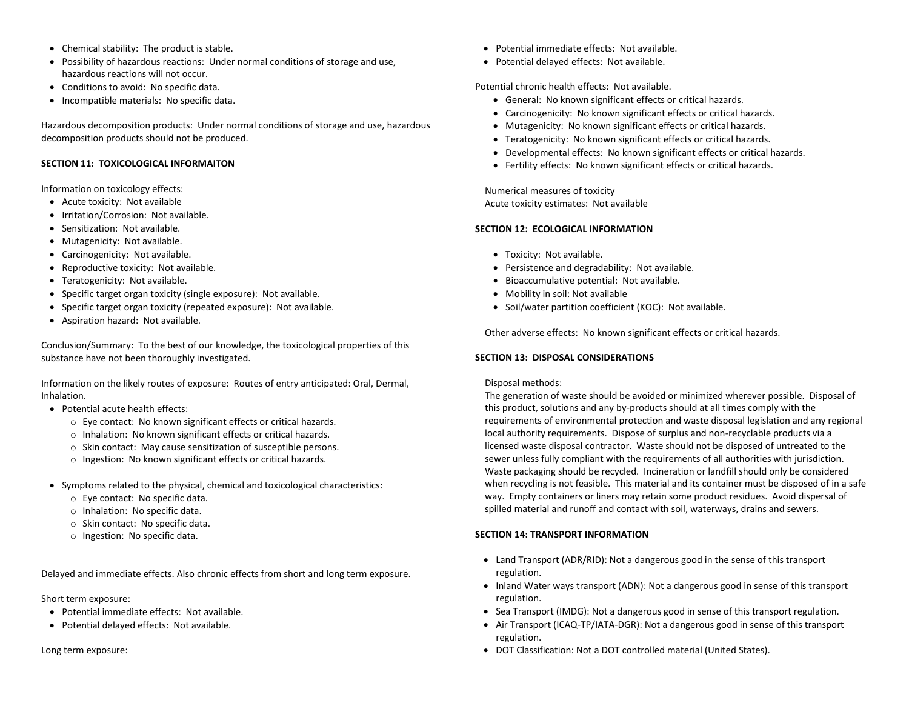- Chemical stability: The product is stable.
- Possibility of hazardous reactions: Under normal conditions of storage and use, hazardous reactions will not occur.
- Conditions to avoid: No specific data.
- Incompatible materials: No specific data.

Hazardous decomposition products: Under normal conditions of storage and use, hazardous decomposition products should not be produced.

#### **SECTION 11: TOXICOLOGICAL INFORMAITON**

Information on toxicology effects:

- Acute toxicity: Not available
- Irritation/Corrosion: Not available.
- Sensitization: Not available.
- Mutagenicity: Not available.
- Carcinogenicity: Not available.
- Reproductive toxicity: Not available.
- Teratogenicity: Not available.
- Specific target organ toxicity (single exposure): Not available.
- Specific target organ toxicity (repeated exposure): Not available.
- Aspiration hazard: Not available.

Conclusion/Summary: To the best of our knowledge, the toxicological properties of this substance have not been thoroughly investigated.

Information on the likely routes of exposure: Routes of entry anticipated: Oral, Dermal, Inhalation.

- Potential acute health effects:
	- o Eye contact: No known significant effects or critical hazards.
	- o Inhalation: No known significant effects or critical hazards.
	- o Skin contact: May cause sensitization of susceptible persons.
	- o Ingestion: No known significant effects or critical hazards.
- Symptoms related to the physical, chemical and toxicological characteristics:
	- o Eye contact: No specific data.
	- o Inhalation: No specific data.
	- o Skin contact: No specific data.
	- o Ingestion: No specific data.

Delayed and immediate effects. Also chronic effects from short and long term exposure.

#### Short term exposure:

- Potential immediate effects: Not available.
- Potential delayed effects: Not available.

Long term exposure:

- Potential immediate effects: Not available.
- Potential delayed effects: Not available.

Potential chronic health effects: Not available.

- General: No known significant effects or critical hazards.
- Carcinogenicity: No known significant effects or critical hazards.
- Mutagenicity: No known significant effects or critical hazards.
- Teratogenicity: No known significant effects or critical hazards.
- Developmental effects: No known significant effects or critical hazards.
- Fertility effects: No known significant effects or critical hazards.

Numerical measures of toxicity Acute toxicity estimates: Not available

#### **SECTION 12: ECOLOGICAL INFORMATION**

- Toxicity: Not available.
- Persistence and degradability: Not available.
- Bioaccumulative potential: Not available.
- Mobility in soil: Not available
- Soil/water partition coefficient (KOC): Not available.

Other adverse effects: No known significant effects or critical hazards.

#### **SECTION 13: DISPOSAL CONSIDERATIONS**

## Disposal methods:

The generation of waste should be avoided or minimized wherever possible. Disposal of this product, solutions and any by-products should at all times comply with the requirements of environmental protection and waste disposal legislation and any regional local authority requirements. Dispose of surplus and non-recyclable products via a licensed waste disposal contractor. Waste should not be disposed of untreated to the sewer unless fully compliant with the requirements of all authorities with jurisdiction. Waste packaging should be recycled. Incineration or landfill should only be considered when recycling is not feasible. This material and its container must be disposed of in a safe way. Empty containers or liners may retain some product residues. Avoid dispersal of spilled material and runoff and contact with soil, waterways, drains and sewers.

## **SECTION 14: TRANSPORT INFORMATION**

- Land Transport (ADR/RID): Not a dangerous good in the sense of this transport regulation.
- Inland Water ways transport (ADN): Not a dangerous good in sense of this transport regulation.
- Sea Transport (IMDG): Not a dangerous good in sense of this transport regulation.
- Air Transport (ICAQ-TP/IATA-DGR): Not a dangerous good in sense of this transport regulation.
- DOT Classification: Not a DOT controlled material (United States).